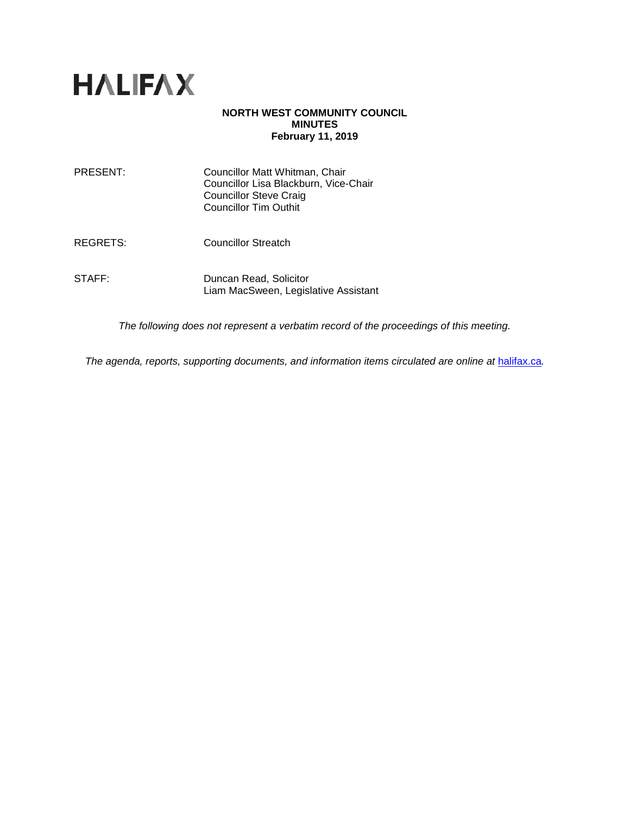

# **NORTH WEST COMMUNITY COUNCIL MINUTES February 11, 2019**

| PRESENT:        | Councillor Matt Whitman, Chair<br>Councillor Lisa Blackburn, Vice-Chair<br><b>Councillor Steve Craig</b><br><b>Councillor Tim Outhit</b> |
|-----------------|------------------------------------------------------------------------------------------------------------------------------------------|
| <b>REGRETS:</b> | <b>Councillor Streatch</b>                                                                                                               |
| STAFF:          | Duncan Read, Solicitor<br>Liam MacSween, Legislative Assistant                                                                           |

*The following does not represent a verbatim record of the proceedings of this meeting.*

*The agenda, reports, supporting documents, and information items circulated are online at [halifax.ca](http://www.halifax.ca/).*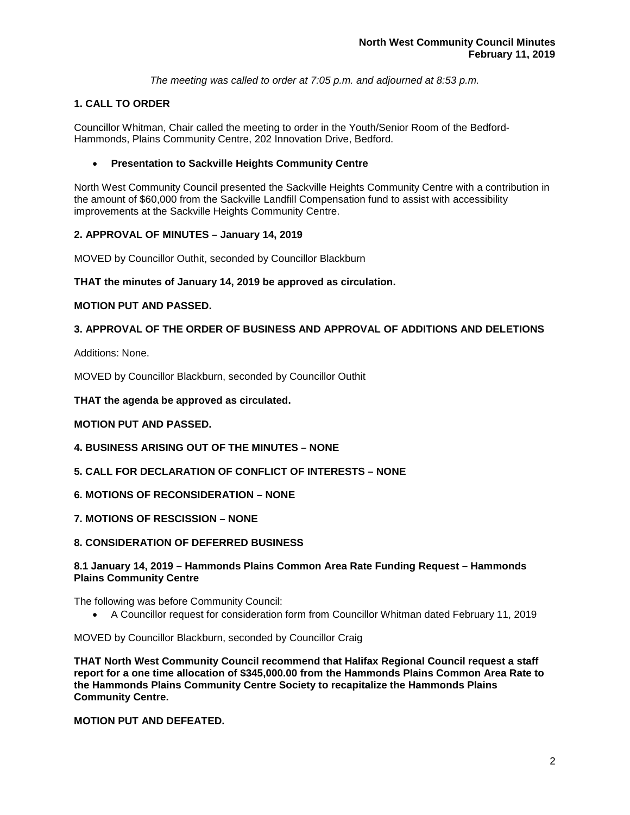*The meeting was called to order at 7:05 p.m. and adjourned at 8:53 p.m.*

# **1. CALL TO ORDER**

Councillor Whitman, Chair called the meeting to order in the Youth/Senior Room of the Bedford-Hammonds, Plains Community Centre, 202 Innovation Drive, Bedford.

# • **Presentation to Sackville Heights Community Centre**

North West Community Council presented the Sackville Heights Community Centre with a contribution in the amount of \$60,000 from the Sackville Landfill Compensation fund to assist with accessibility improvements at the Sackville Heights Community Centre.

# **2. APPROVAL OF MINUTES – January 14, 2019**

MOVED by Councillor Outhit, seconded by Councillor Blackburn

# **THAT the minutes of January 14, 2019 be approved as circulation.**

# **MOTION PUT AND PASSED.**

# **3. APPROVAL OF THE ORDER OF BUSINESS AND APPROVAL OF ADDITIONS AND DELETIONS**

Additions: None.

MOVED by Councillor Blackburn, seconded by Councillor Outhit

**THAT the agenda be approved as circulated.** 

# **MOTION PUT AND PASSED.**

- **4. BUSINESS ARISING OUT OF THE MINUTES – NONE**
- **5. CALL FOR DECLARATION OF CONFLICT OF INTERESTS – NONE**
- **6. MOTIONS OF RECONSIDERATION – NONE**
- **7. MOTIONS OF RESCISSION – NONE**
- **8. CONSIDERATION OF DEFERRED BUSINESS**

# **8.1 January 14, 2019 – Hammonds Plains Common Area Rate Funding Request – Hammonds Plains Community Centre**

The following was before Community Council:

• A Councillor request for consideration form from Councillor Whitman dated February 11, 2019

MOVED by Councillor Blackburn, seconded by Councillor Craig

**THAT North West Community Council recommend that Halifax Regional Council request a staff report for a one time allocation of \$345,000.00 from the Hammonds Plains Common Area Rate to the Hammonds Plains Community Centre Society to recapitalize the Hammonds Plains Community Centre.**

# **MOTION PUT AND DEFEATED.**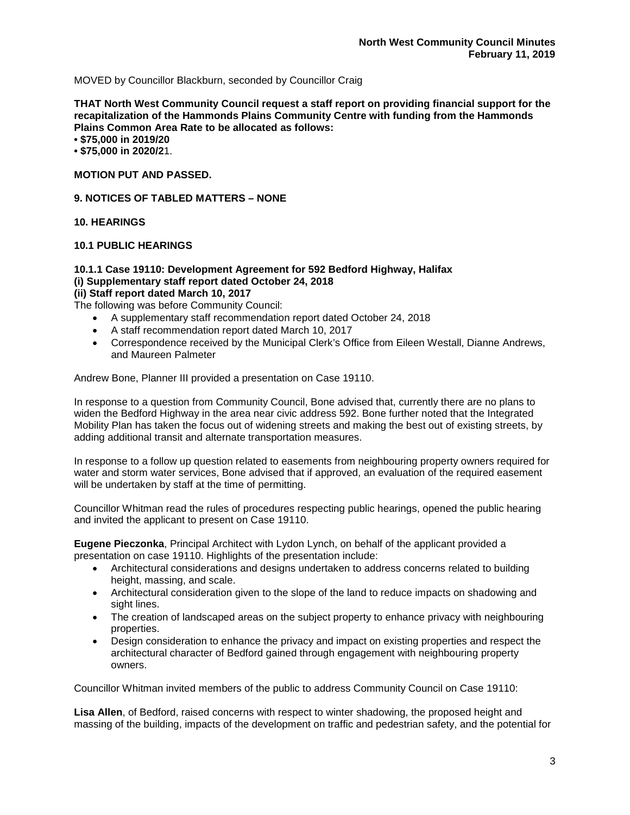MOVED by Councillor Blackburn, seconded by Councillor Craig

**THAT North West Community Council request a staff report on providing financial support for the recapitalization of the Hammonds Plains Community Centre with funding from the Hammonds Plains Common Area Rate to be allocated as follows:**

**• \$75,000 in 2019/20**

**• \$75,000 in 2020/2**1.

**MOTION PUT AND PASSED.**

**9. NOTICES OF TABLED MATTERS – NONE**

**10. HEARINGS**

**10.1 PUBLIC HEARINGS**

# **10.1.1 Case 19110: Development Agreement for 592 Bedford Highway, Halifax (i) Supplementary staff report dated October 24, 2018**

# **(ii) Staff report dated March 10, 2017**

The following was before Community Council:

- A supplementary staff recommendation report dated October 24, 2018
- A staff recommendation report dated March 10, 2017
- Correspondence received by the Municipal Clerk's Office from Eileen Westall, Dianne Andrews, and Maureen Palmeter

Andrew Bone, Planner III provided a presentation on Case 19110.

In response to a question from Community Council, Bone advised that, currently there are no plans to widen the Bedford Highway in the area near civic address 592. Bone further noted that the Integrated Mobility Plan has taken the focus out of widening streets and making the best out of existing streets, by adding additional transit and alternate transportation measures.

In response to a follow up question related to easements from neighbouring property owners required for water and storm water services, Bone advised that if approved, an evaluation of the required easement will be undertaken by staff at the time of permitting.

Councillor Whitman read the rules of procedures respecting public hearings, opened the public hearing and invited the applicant to present on Case 19110.

**Eugene Pieczonka**, Principal Architect with Lydon Lynch, on behalf of the applicant provided a presentation on case 19110. Highlights of the presentation include:

- Architectural considerations and designs undertaken to address concerns related to building height, massing, and scale.
- Architectural consideration given to the slope of the land to reduce impacts on shadowing and sight lines.
- The creation of landscaped areas on the subject property to enhance privacy with neighbouring properties.
- Design consideration to enhance the privacy and impact on existing properties and respect the architectural character of Bedford gained through engagement with neighbouring property owners.

Councillor Whitman invited members of the public to address Community Council on Case 19110:

**Lisa Allen**, of Bedford, raised concerns with respect to winter shadowing, the proposed height and massing of the building, impacts of the development on traffic and pedestrian safety, and the potential for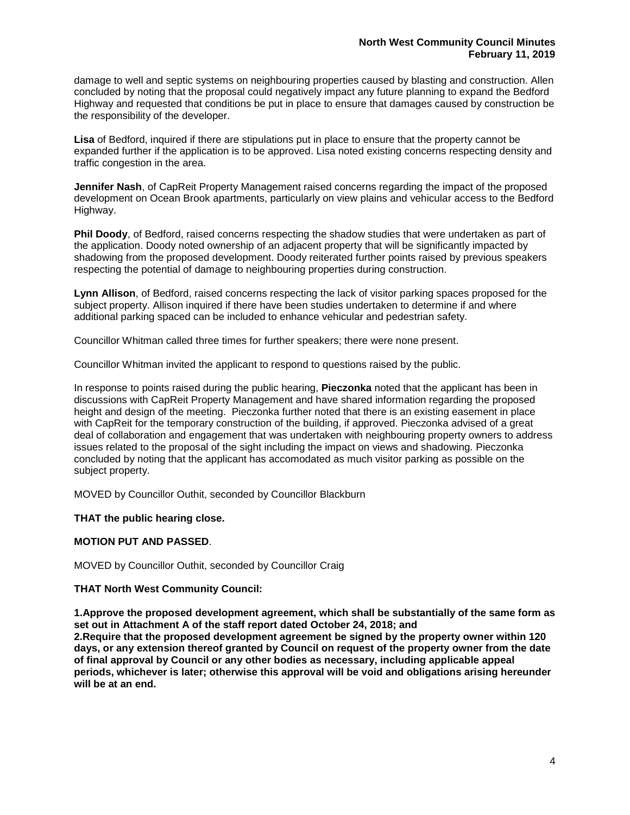damage to well and septic systems on neighbouring properties caused by blasting and construction. Allen concluded by noting that the proposal could negatively impact any future planning to expand the Bedford Highway and requested that conditions be put in place to ensure that damages caused by construction be the responsibility of the developer.

**Lisa** of Bedford, inquired if there are stipulations put in place to ensure that the property cannot be expanded further if the application is to be approved. Lisa noted existing concerns respecting density and traffic congestion in the area.

**Jennifer Nash**, of CapReit Property Management raised concerns regarding the impact of the proposed development on Ocean Brook apartments, particularly on view plains and vehicular access to the Bedford Highway.

**Phil Doody**, of Bedford, raised concerns respecting the shadow studies that were undertaken as part of the application. Doody noted ownership of an adjacent property that will be significantly impacted by shadowing from the proposed development. Doody reiterated further points raised by previous speakers respecting the potential of damage to neighbouring properties during construction.

**Lynn Allison**, of Bedford, raised concerns respecting the lack of visitor parking spaces proposed for the subject property. Allison inquired if there have been studies undertaken to determine if and where additional parking spaced can be included to enhance vehicular and pedestrian safety.

Councillor Whitman called three times for further speakers; there were none present.

Councillor Whitman invited the applicant to respond to questions raised by the public.

In response to points raised during the public hearing, **Pieczonka** noted that the applicant has been in discussions with CapReit Property Management and have shared information regarding the proposed height and design of the meeting. Pieczonka further noted that there is an existing easement in place with CapReit for the temporary construction of the building, if approved. Pieczonka advised of a great deal of collaboration and engagement that was undertaken with neighbouring property owners to address issues related to the proposal of the sight including the impact on views and shadowing. Pieczonka concluded by noting that the applicant has accomodated as much visitor parking as possible on the subject property.

MOVED by Councillor Outhit, seconded by Councillor Blackburn

#### **THAT the public hearing close.**

#### **MOTION PUT AND PASSED**.

MOVED by Councillor Outhit, seconded by Councillor Craig

#### **THAT North West Community Council:**

**1.Approve the proposed development agreement, which shall be substantially of the same form as set out in Attachment A of the staff report dated October 24, 2018; and 2.Require that the proposed development agreement be signed by the property owner within 120 days, or any extension thereof granted by Council on request of the property owner from the date** 

**of final approval by Council or any other bodies as necessary, including applicable appeal periods, whichever is later; otherwise this approval will be void and obligations arising hereunder will be at an end.**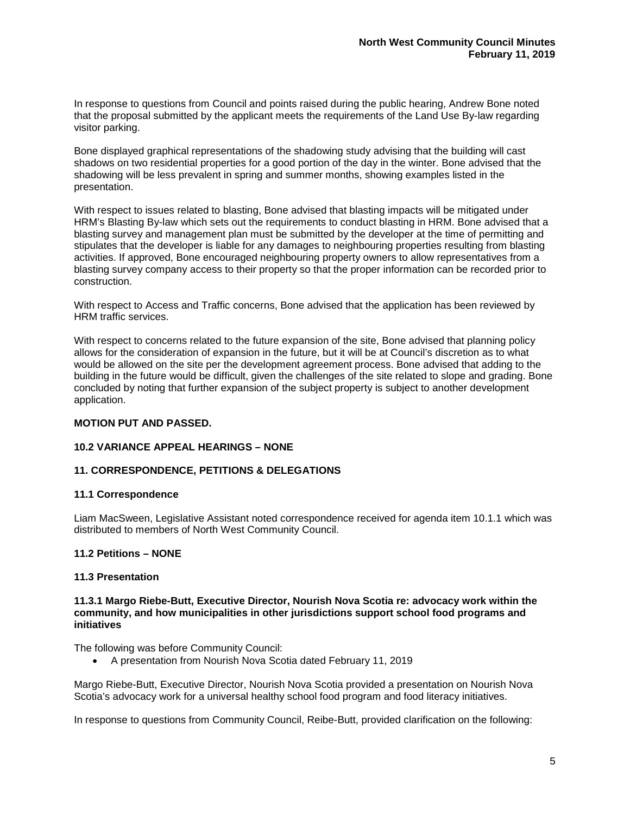In response to questions from Council and points raised during the public hearing, Andrew Bone noted that the proposal submitted by the applicant meets the requirements of the Land Use By-law regarding visitor parking.

Bone displayed graphical representations of the shadowing study advising that the building will cast shadows on two residential properties for a good portion of the day in the winter. Bone advised that the shadowing will be less prevalent in spring and summer months, showing examples listed in the presentation.

With respect to issues related to blasting, Bone advised that blasting impacts will be mitigated under HRM's Blasting By-law which sets out the requirements to conduct blasting in HRM. Bone advised that a blasting survey and management plan must be submitted by the developer at the time of permitting and stipulates that the developer is liable for any damages to neighbouring properties resulting from blasting activities. If approved, Bone encouraged neighbouring property owners to allow representatives from a blasting survey company access to their property so that the proper information can be recorded prior to construction.

With respect to Access and Traffic concerns, Bone advised that the application has been reviewed by HRM traffic services.

With respect to concerns related to the future expansion of the site, Bone advised that planning policy allows for the consideration of expansion in the future, but it will be at Council's discretion as to what would be allowed on the site per the development agreement process. Bone advised that adding to the building in the future would be difficult, given the challenges of the site related to slope and grading. Bone concluded by noting that further expansion of the subject property is subject to another development application.

# **MOTION PUT AND PASSED.**

# **10.2 VARIANCE APPEAL HEARINGS – NONE**

# **11. CORRESPONDENCE, PETITIONS & DELEGATIONS**

#### **11.1 Correspondence**

Liam MacSween, Legislative Assistant noted correspondence received for agenda item 10.1.1 which was distributed to members of North West Community Council.

#### **11.2 Petitions – NONE**

#### **11.3 Presentation**

#### **11.3.1 Margo Riebe-Butt, Executive Director, Nourish Nova Scotia re: advocacy work within the community, and how municipalities in other jurisdictions support school food programs and initiatives**

The following was before Community Council:

• A presentation from Nourish Nova Scotia dated February 11, 2019

Margo Riebe-Butt, Executive Director, Nourish Nova Scotia provided a presentation on Nourish Nova Scotia's advocacy work for a universal healthy school food program and food literacy initiatives.

In response to questions from Community Council, Reibe-Butt, provided clarification on the following: